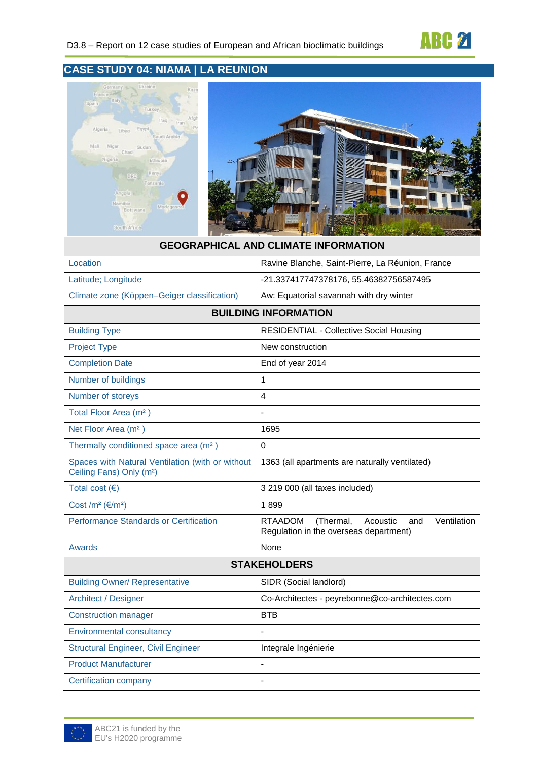



#### **GEOGRAPHICAL AND CLIMATE INFORMATION**

| Location                                    | Ravine Blanche, Saint-Pierre, La Réunion, France |  |  |
|---------------------------------------------|--------------------------------------------------|--|--|
| Latitude; Longitude                         | -21.337417747378176, 55.46382756587495           |  |  |
| Climate zone (Köppen–Geiger classification) | Aw: Equatorial savannah with dry winter          |  |  |
| <b>BUILDING INFORMATION</b>                 |                                                  |  |  |
| <b>Building Type</b>                        | <b>RESIDENTIAL - Collective Social Housing</b>   |  |  |
|                                             |                                                  |  |  |

| <b>Project Type</b>                                                                      | New construction                                                                                        |
|------------------------------------------------------------------------------------------|---------------------------------------------------------------------------------------------------------|
| <b>Completion Date</b>                                                                   | End of year 2014                                                                                        |
| Number of buildings                                                                      | 1                                                                                                       |
| Number of storeys                                                                        | 4                                                                                                       |
| Total Floor Area (m <sup>2</sup> )                                                       |                                                                                                         |
| Net Floor Area (m <sup>2</sup> )                                                         | 1695                                                                                                    |
| Thermally conditioned space area (m <sup>2</sup> )                                       | 0                                                                                                       |
| Spaces with Natural Ventilation (with or without<br>Ceiling Fans) Only (m <sup>2</sup> ) | 1363 (all apartments are naturally ventilated)                                                          |
| Total cost $(€)$                                                                         | 3 219 000 (all taxes included)                                                                          |
| Cost /m <sup>2</sup> ( $\varepsilon$ /m <sup>2</sup> )                                   | 1899                                                                                                    |
| <b>Performance Standards or Certification</b>                                            | <b>RTAADOM</b><br>(Thermal,<br>Acoustic<br>Ventilation<br>and<br>Regulation in the overseas department) |
| <b>Awards</b>                                                                            | None                                                                                                    |
|                                                                                          | <b>STAKEHOLDERS</b>                                                                                     |
| <b>Building Owner/ Representative</b>                                                    | SIDR (Social landlord)                                                                                  |
| <b>Architect / Designer</b>                                                              | Co-Architectes - peyrebonne@co-architectes.com                                                          |
| <b>Construction manager</b>                                                              | <b>BTB</b>                                                                                              |
| <b>Environmental consultancy</b>                                                         |                                                                                                         |
| <b>Structural Engineer, Civil Engineer</b>                                               | Integrale Ingénierie                                                                                    |
| <b>Product Manufacturer</b>                                                              |                                                                                                         |
| <b>Certification company</b>                                                             |                                                                                                         |

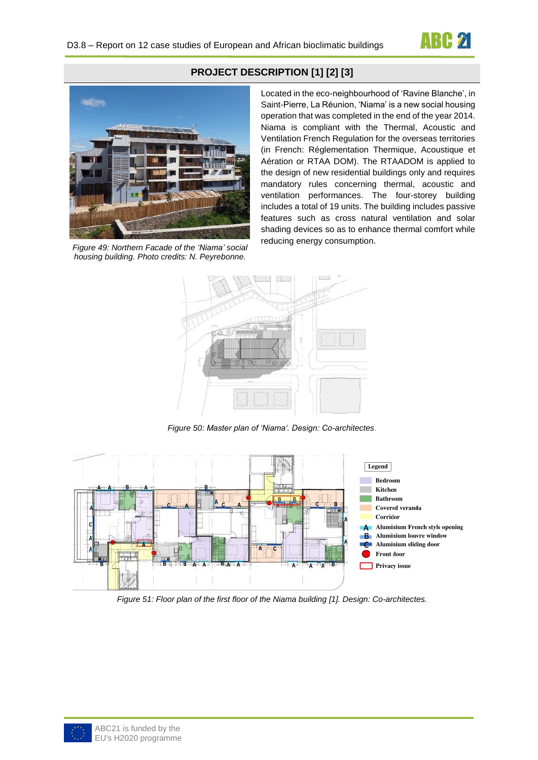



*Figure 49: Northern Facade of the 'Niama' social housing building. Photo credits: N. Peyrebonne.*

### **PROJECT DESCRIPTION [1] [2] [3]**

Located in the eco-neighbourhood of 'Ravine Blanche', in Saint-Pierre, La Réunion, 'Niama' is a new social housing operation that was completed in the end of the year 2014. Niama is compliant with the Thermal, Acoustic and Ventilation French Regulation for the overseas territories (in French: Réglementation Thermique, Acoustique et Aération or RTAA DOM). The RTAADOM is applied to the design of new residential buildings only and requires mandatory rules concerning thermal, acoustic and ventilation performances. The four-storey building includes a total of 19 units. The building includes passive features such as cross natural ventilation and solar shading devices so as to enhance thermal comfort while reducing energy consumption.



*Figure 50: Master plan of 'Niama'. Design: Co-architectes*.



*Figure 51: Floor plan of the first floor of the Niama building [1]. Design: Co-architectes.*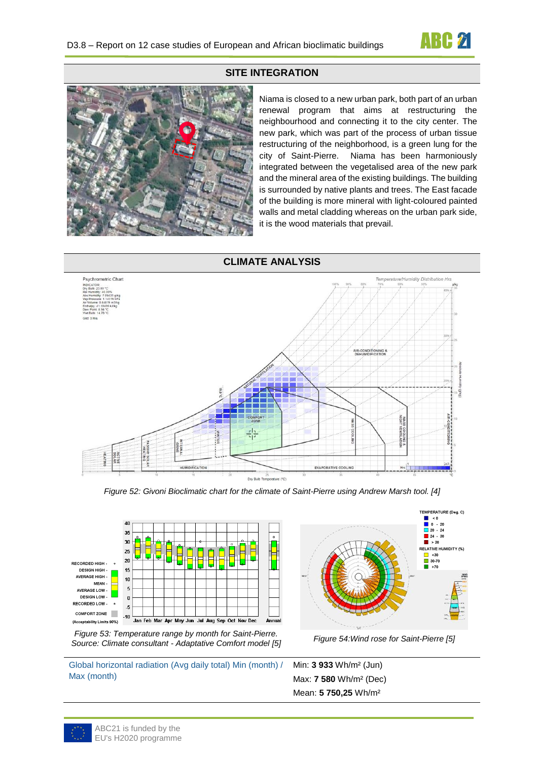

#### **SITE INTEGRATION**



Niama is closed to a new urban park, both part of an urban renewal program that aims at restructuring the neighbourhood and connecting it to the city center. The new park, which was part of the process of urban tissue restructuring of the neighborhood, is a green lung for the city of Saint-Pierre. Niama has been harmoniously integrated between the vegetalised area of the new park and the mineral area of the existing buildings. The building is surrounded by native plants and trees. The East facade of the building is more mineral with light-coloured painted walls and metal cladding whereas on the urban park side, it is the wood materials that prevail.



*Figure 52: Givoni Bioclimatic chart for the climate of Saint-Pierre using Andrew Marsh tool. [4]*



*Figure 53: Temperature range by month for Saint-Pierre. Source: Climate consultant - Adaptative Comfort model [5] Figure 54:Wind rose for Saint-Pierre [5]*

Global horizontal radiation (Avg daily total) Min (month) / Max (month)





Min: **3 933** Wh/m² (Jun) Max: **7 580** Wh/m² (Dec) Mean: **5 750,25** Wh/m²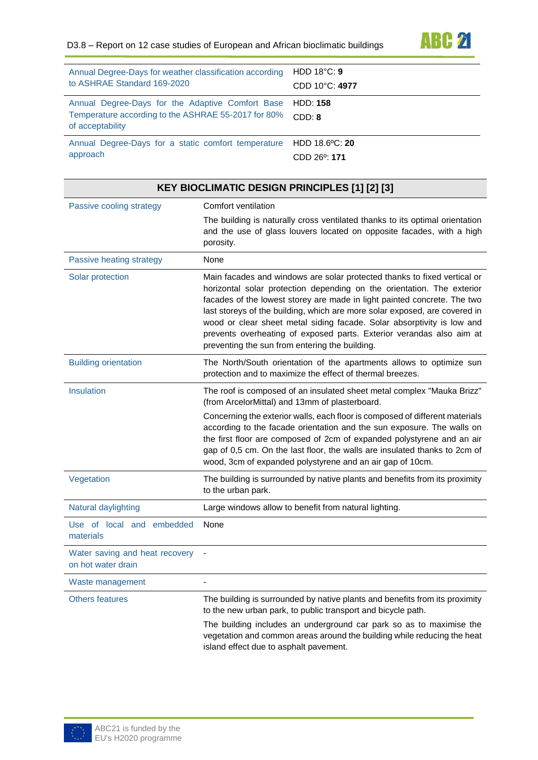

| Annual Degree-Days for weather classification according                                                                              | HDD $18^{\circ}$ C: 9     |
|--------------------------------------------------------------------------------------------------------------------------------------|---------------------------|
| to ASHRAE Standard 169-2020                                                                                                          | CDD 10°C: 4977            |
| Annual Degree-Days for the Adaptive Comfort Base HDD: 158<br>Temperature according to the ASHRAE 55-2017 for 80%<br>of acceptability | CDD: 8                    |
| Annual Degree-Days for a static comfort temperature                                                                                  | HDD 18.6°C: 20            |
| approach                                                                                                                             | CDD 26 <sup>o</sup> : 171 |

| <b>KEY BIOCLIMATIC DESIGN PRINCIPLES [1] [2] [3]</b> |                                                                                                                                                                                                                                                                                                                                                                                                                                                                                                                  |  |
|------------------------------------------------------|------------------------------------------------------------------------------------------------------------------------------------------------------------------------------------------------------------------------------------------------------------------------------------------------------------------------------------------------------------------------------------------------------------------------------------------------------------------------------------------------------------------|--|
| Passive cooling strategy                             | Comfort ventilation                                                                                                                                                                                                                                                                                                                                                                                                                                                                                              |  |
|                                                      | The building is naturally cross ventilated thanks to its optimal orientation<br>and the use of glass louvers located on opposite facades, with a high<br>porosity.                                                                                                                                                                                                                                                                                                                                               |  |
| Passive heating strategy                             | None                                                                                                                                                                                                                                                                                                                                                                                                                                                                                                             |  |
| Solar protection                                     | Main facades and windows are solar protected thanks to fixed vertical or<br>horizontal solar protection depending on the orientation. The exterior<br>facades of the lowest storey are made in light painted concrete. The two<br>last storeys of the building, which are more solar exposed, are covered in<br>wood or clear sheet metal siding facade. Solar absorptivity is low and<br>prevents overheating of exposed parts. Exterior verandas also aim at<br>preventing the sun from entering the building. |  |
| <b>Building orientation</b>                          | The North/South orientation of the apartments allows to optimize sun<br>protection and to maximize the effect of thermal breezes.                                                                                                                                                                                                                                                                                                                                                                                |  |
| Insulation                                           | The roof is composed of an insulated sheet metal complex "Mauka Brizz"<br>(from ArcelorMittal) and 13mm of plasterboard.                                                                                                                                                                                                                                                                                                                                                                                         |  |
|                                                      | Concerning the exterior walls, each floor is composed of different materials<br>according to the facade orientation and the sun exposure. The walls on<br>the first floor are composed of 2cm of expanded polystyrene and an air<br>gap of 0,5 cm. On the last floor, the walls are insulated thanks to 2cm of<br>wood, 3cm of expanded polystyrene and an air gap of 10cm.                                                                                                                                      |  |
| Vegetation                                           | The building is surrounded by native plants and benefits from its proximity<br>to the urban park.                                                                                                                                                                                                                                                                                                                                                                                                                |  |
| Natural daylighting                                  | Large windows allow to benefit from natural lighting.                                                                                                                                                                                                                                                                                                                                                                                                                                                            |  |
| Use of local and embedded<br>materials               | None                                                                                                                                                                                                                                                                                                                                                                                                                                                                                                             |  |
| Water saving and heat recovery<br>on hot water drain |                                                                                                                                                                                                                                                                                                                                                                                                                                                                                                                  |  |
| Waste management                                     |                                                                                                                                                                                                                                                                                                                                                                                                                                                                                                                  |  |
| <b>Others features</b>                               | The building is surrounded by native plants and benefits from its proximity<br>to the new urban park, to public transport and bicycle path.                                                                                                                                                                                                                                                                                                                                                                      |  |
|                                                      | The building includes an underground car park so as to maximise the<br>vegetation and common areas around the building while reducing the heat<br>island effect due to asphalt pavement.                                                                                                                                                                                                                                                                                                                         |  |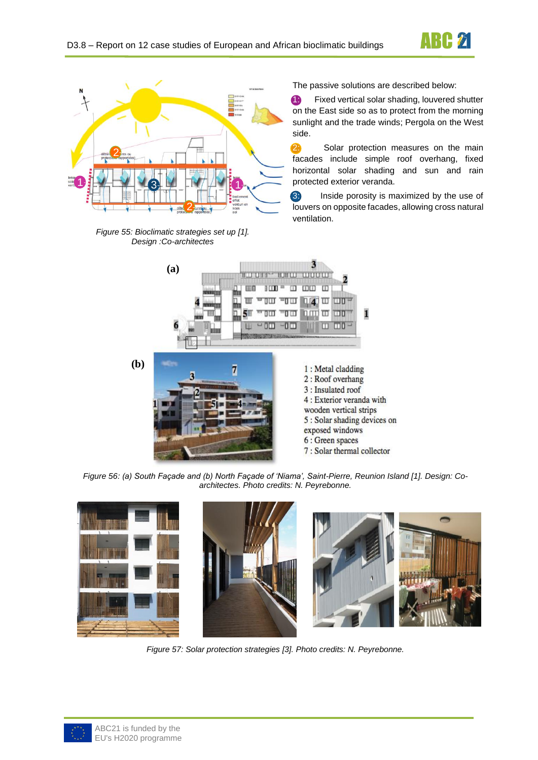



*Figure 55: Bioclimatic strategies set up [1]. Design :Co-architectes*

The passive solutions are described below:

**1:** Fixed vertical solar shading, louvered shutter on the East side so as to protect from the morning sunlight and the trade winds; Pergola on the West side.

2. Solar protection measures on the main facades include simple roof overhang, fixed horizontal solar shading and sun and rain protected exterior veranda.

3: Inside porosity is maximized by the use of louvers on opposite facades, allowing cross natural ventilation.



*Figure 56: (a) South Façade and (b) North Façade of 'Niama', Saint-Pierre, Reunion Island [1]. Design: Coarchitectes. Photo credits: N. Peyrebonne.*



*Figure 57: Solar protection strategies [3]. Photo credits: N. Peyrebonne.*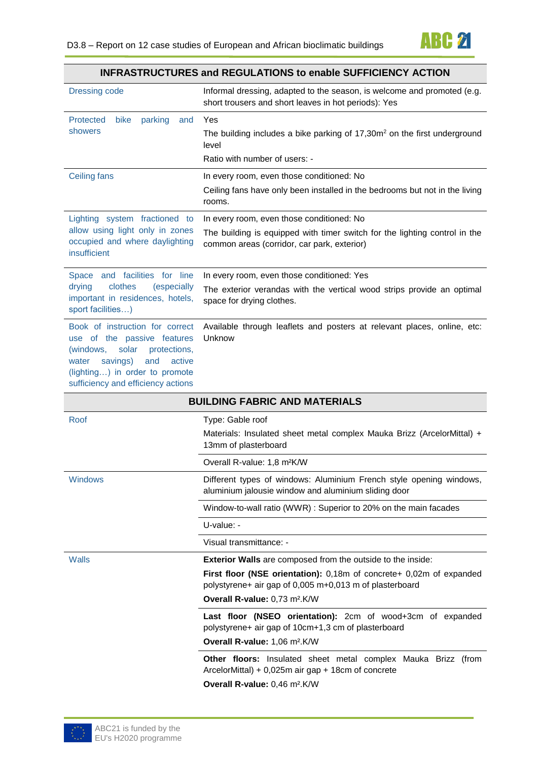|                                                                                                                                                                                                                    | <u>INFRASTRUCTURES and REGULATIONS to enable SUFFICIENCT ACTION</u>                                                                                                                                                                               |  |
|--------------------------------------------------------------------------------------------------------------------------------------------------------------------------------------------------------------------|---------------------------------------------------------------------------------------------------------------------------------------------------------------------------------------------------------------------------------------------------|--|
| <b>Dressing code</b>                                                                                                                                                                                               | Informal dressing, adapted to the season, is welcome and promoted (e.g.<br>short trousers and short leaves in hot periods): Yes                                                                                                                   |  |
| Protected<br>bike<br>parking<br>and<br>showers                                                                                                                                                                     | Yes<br>The building includes a bike parking of $17,30m^2$ on the first underground<br>level                                                                                                                                                       |  |
|                                                                                                                                                                                                                    | Ratio with number of users: -                                                                                                                                                                                                                     |  |
| <b>Ceiling fans</b>                                                                                                                                                                                                | In every room, even those conditioned: No<br>Ceiling fans have only been installed in the bedrooms but not in the living<br>rooms.                                                                                                                |  |
| Lighting system fractioned to<br>allow using light only in zones<br>occupied and where daylighting<br><i>insufficient</i>                                                                                          | In every room, even those conditioned: No<br>The building is equipped with timer switch for the lighting control in the<br>common areas (corridor, car park, exterior)                                                                            |  |
| Space and facilities for line<br>drying<br>clothes<br>(especially<br>important in residences, hotels,<br>sport facilities)                                                                                         | In every room, even those conditioned: Yes<br>The exterior verandas with the vertical wood strips provide an optimal<br>space for drying clothes.                                                                                                 |  |
| Book of instruction for correct<br>use of the passive features<br>solar<br>(windows,<br>protections,<br>savings)<br>and<br>active<br>water<br>(lighting) in order to promote<br>sufficiency and efficiency actions | Available through leaflets and posters at relevant places, online, etc:<br>Unknow                                                                                                                                                                 |  |
|                                                                                                                                                                                                                    | <b>BUILDING FABRIC AND MATERIALS</b>                                                                                                                                                                                                              |  |
| Roof                                                                                                                                                                                                               | Type: Gable roof                                                                                                                                                                                                                                  |  |
|                                                                                                                                                                                                                    | Materials: Insulated sheet metal complex Mauka Brizz (ArcelorMittal) +<br>13mm of plasterboard                                                                                                                                                    |  |
|                                                                                                                                                                                                                    | Overall R-value: 1,8 m <sup>2</sup> K/W                                                                                                                                                                                                           |  |
| Windows                                                                                                                                                                                                            | Different types of windows: Aluminium French style opening windows,<br>aluminium jalousie window and aluminium sliding door                                                                                                                       |  |
|                                                                                                                                                                                                                    | Window-to-wall ratio (WWR) : Superior to 20% on the main facades                                                                                                                                                                                  |  |
|                                                                                                                                                                                                                    | U-value: -                                                                                                                                                                                                                                        |  |
|                                                                                                                                                                                                                    | Visual transmittance: -                                                                                                                                                                                                                           |  |
| <b>Walls</b>                                                                                                                                                                                                       | <b>Exterior Walls</b> are composed from the outside to the inside:<br>First floor (NSE orientation): 0,18m of concrete+ 0,02m of expanded<br>polystyrene+ air gap of 0,005 m+0,013 m of plasterboard<br>Overall R-value: 0,73 m <sup>2</sup> .K/W |  |
|                                                                                                                                                                                                                    | Last floor (NSEO orientation): 2cm of wood+3cm of expanded<br>polystyrene+ air gap of 10cm+1,3 cm of plasterboard<br>Overall R-value: 1,06 m <sup>2</sup> .K/W                                                                                    |  |
|                                                                                                                                                                                                                    | Other floors: Insulated sheet metal complex Mauka Brizz (from<br>ArcelorMittal) + 0,025m air gap + 18cm of concrete<br>Overall R-value: 0,46 m <sup>2</sup> .K/W                                                                                  |  |

## **INFRASTRUCTURES and REGULATIONS to enable SUFFICIENCY ACTION**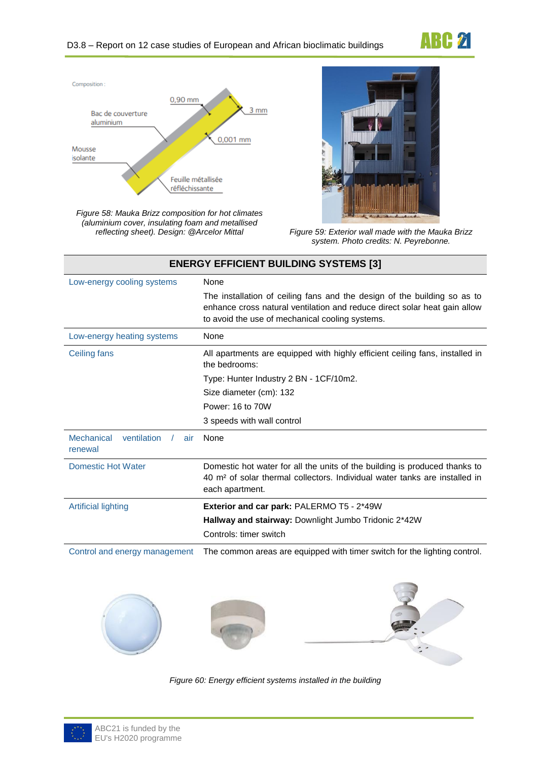



*Figure 58: Mauka Brizz composition for hot climates (aluminium cover, insulating foam and metallised* 



*reflecting sheet). Design: @Arcelor Mittal Figure 59: Exterior wall made with the Mauka Brizz system. Photo credits: N. Peyrebonne.*

| <b>ENERGY EFFICIENT BUILDING SYSTEMS [3]</b> |                                                                                                                                                                                                          |  |  |
|----------------------------------------------|----------------------------------------------------------------------------------------------------------------------------------------------------------------------------------------------------------|--|--|
| Low-energy cooling systems                   | None                                                                                                                                                                                                     |  |  |
|                                              | The installation of ceiling fans and the design of the building so as to<br>enhance cross natural ventilation and reduce direct solar heat gain allow<br>to avoid the use of mechanical cooling systems. |  |  |
| Low-energy heating systems                   | None                                                                                                                                                                                                     |  |  |
| Ceiling fans                                 | All apartments are equipped with highly efficient ceiling fans, installed in<br>the bedrooms:                                                                                                            |  |  |
|                                              | Type: Hunter Industry 2 BN - 1CF/10m2.                                                                                                                                                                   |  |  |
|                                              | Size diameter (cm): 132                                                                                                                                                                                  |  |  |
|                                              | Power: 16 to 70W                                                                                                                                                                                         |  |  |
|                                              | 3 speeds with wall control                                                                                                                                                                               |  |  |
| Mechanical<br>ventilation<br>air<br>renewal  | <b>None</b>                                                                                                                                                                                              |  |  |
| <b>Domestic Hot Water</b>                    | Domestic hot water for all the units of the building is produced thanks to<br>40 m <sup>2</sup> of solar thermal collectors. Individual water tanks are installed in<br>each apartment.                  |  |  |
| Artificial lighting                          | <b>Exterior and car park: PALERMO T5 - 2*49W</b>                                                                                                                                                         |  |  |
|                                              | Hallway and stairway: Downlight Jumbo Tridonic 2*42W                                                                                                                                                     |  |  |
|                                              | Controls: timer switch                                                                                                                                                                                   |  |  |

Control and energy management The common areas are equipped with timer switch for the lighting control.



*Figure 60: Energy efficient systems installed in the building*

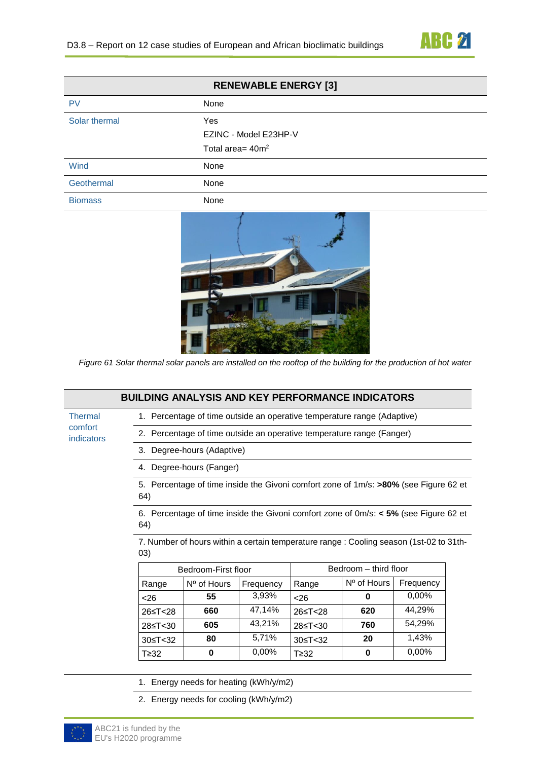

| <b>RENEWABLE ENERGY [3]</b> |                       |  |
|-----------------------------|-----------------------|--|
| <b>PV</b>                   | None                  |  |
| Solar thermal               | Yes                   |  |
|                             | EZINC - Model E23HP-V |  |
|                             | Total area= $40m^2$   |  |
| Wind                        | None                  |  |
| Geothermal                  | None                  |  |
| <b>Biomass</b>              | None                  |  |



*Figure 61 Solar thermal solar panels are installed on the rooftop of the building for the production of hot water*

|                       |                                                                                                 | <b>BUILDING ANALYSIS AND KEY PERFORMANCE INDICATORS</b>                                 |           |                       |             |           |  |
|-----------------------|-------------------------------------------------------------------------------------------------|-----------------------------------------------------------------------------------------|-----------|-----------------------|-------------|-----------|--|
| <b>Thermal</b>        |                                                                                                 | 1. Percentage of time outside an operative temperature range (Adaptive)                 |           |                       |             |           |  |
| comfort<br>indicators |                                                                                                 | 2. Percentage of time outside an operative temperature range (Fanger)                   |           |                       |             |           |  |
|                       |                                                                                                 | 3. Degree-hours (Adaptive)                                                              |           |                       |             |           |  |
|                       |                                                                                                 | 4. Degree-hours (Fanger)                                                                |           |                       |             |           |  |
|                       | 64)                                                                                             | 5. Percentage of time inside the Givoni comfort zone of 1m/s: >80% (see Figure 62 et    |           |                       |             |           |  |
|                       | 64)                                                                                             | 6. Percentage of time inside the Givoni comfort zone of $0m/s$ : < 5% (see Figure 62 et |           |                       |             |           |  |
|                       | 7. Number of hours within a certain temperature range : Cooling season (1st-02 to 31th-<br>(03) |                                                                                         |           |                       |             |           |  |
|                       |                                                                                                 | Bedroom-First floor                                                                     |           | Bedroom - third floor |             |           |  |
|                       | Range                                                                                           | Nº of Hours                                                                             | Frequency | Range                 | Nº of Hours | Frequency |  |
|                       | < 26                                                                                            | 55                                                                                      | 3,93%     | $26$                  | 0           | 0,00%     |  |
|                       | 26≤T<28                                                                                         | 660                                                                                     | 47,14%    | 26≤T<28               | 620         | 44,29%    |  |
|                       | 28≤T<30                                                                                         | 605                                                                                     | 43,21%    | 28≤T<30               | 760         | 54,29%    |  |
|                       | 30≤T<32                                                                                         | 80                                                                                      | 5,71%     | 30≤T<32               | 20          | 1,43%     |  |
|                       | T≥32                                                                                            | 0                                                                                       | 0,00%     | $T \geq 32$           | 0           | 0,00%     |  |
|                       |                                                                                                 | 1. Energy needs for heating (kWh/y/m2)                                                  |           |                       |             |           |  |

2. Energy needs for cooling (kWh/y/m2)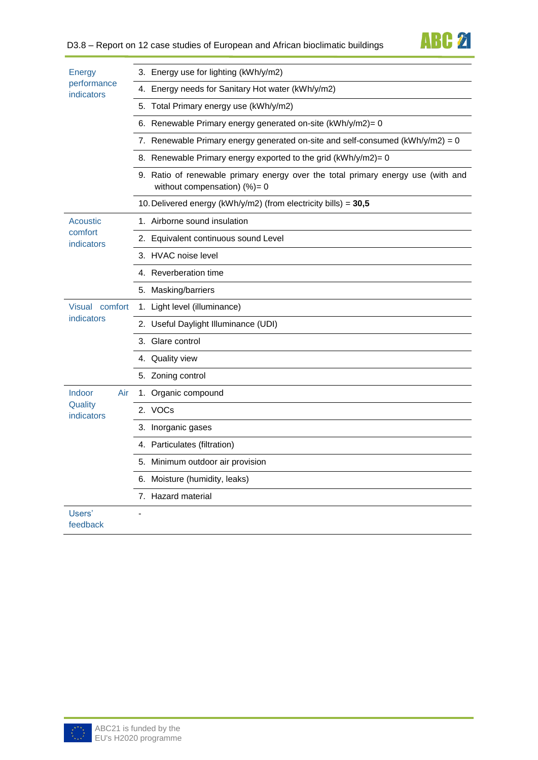| Energy<br>performance<br>indicators | 3. Energy use for lighting (kWh/y/m2)                                                                                |  |  |  |
|-------------------------------------|----------------------------------------------------------------------------------------------------------------------|--|--|--|
|                                     | 4. Energy needs for Sanitary Hot water (kWh/y/m2)                                                                    |  |  |  |
|                                     | 5. Total Primary energy use (kWh/y/m2)                                                                               |  |  |  |
|                                     | 6. Renewable Primary energy generated on-site (kWh/y/m2)= 0                                                          |  |  |  |
|                                     | 7. Renewable Primary energy generated on-site and self-consumed (kWh/y/m2) = 0                                       |  |  |  |
|                                     | 8. Renewable Primary energy exported to the grid (kWh/y/m2)= 0                                                       |  |  |  |
|                                     | 9. Ratio of renewable primary energy over the total primary energy use (with and<br>without compensation) $(\%) = 0$ |  |  |  |
|                                     | 10. Delivered energy (kWh/y/m2) (from electricity bills) = 30,5                                                      |  |  |  |
| Acoustic                            | 1. Airborne sound insulation                                                                                         |  |  |  |
| comfort<br>indicators               | 2. Equivalent continuous sound Level                                                                                 |  |  |  |
|                                     | 3. HVAC noise level                                                                                                  |  |  |  |
|                                     | 4. Reverberation time                                                                                                |  |  |  |
|                                     | 5. Masking/barriers                                                                                                  |  |  |  |
| Visual comfort                      | 1. Light level (illuminance)                                                                                         |  |  |  |
| indicators                          | 2. Useful Daylight Illuminance (UDI)                                                                                 |  |  |  |
|                                     | 3. Glare control                                                                                                     |  |  |  |
|                                     | 4. Quality view                                                                                                      |  |  |  |
|                                     | 5. Zoning control                                                                                                    |  |  |  |
| Indoor<br>Air                       | 1. Organic compound                                                                                                  |  |  |  |
| Quality<br>indicators               | 2. VOCs                                                                                                              |  |  |  |
|                                     | 3. Inorganic gases                                                                                                   |  |  |  |
|                                     | 4. Particulates (filtration)                                                                                         |  |  |  |
|                                     | 5. Minimum outdoor air provision                                                                                     |  |  |  |
|                                     | 6. Moisture (humidity, leaks)                                                                                        |  |  |  |
|                                     | 7. Hazard material                                                                                                   |  |  |  |
| Users'<br>feedback                  |                                                                                                                      |  |  |  |